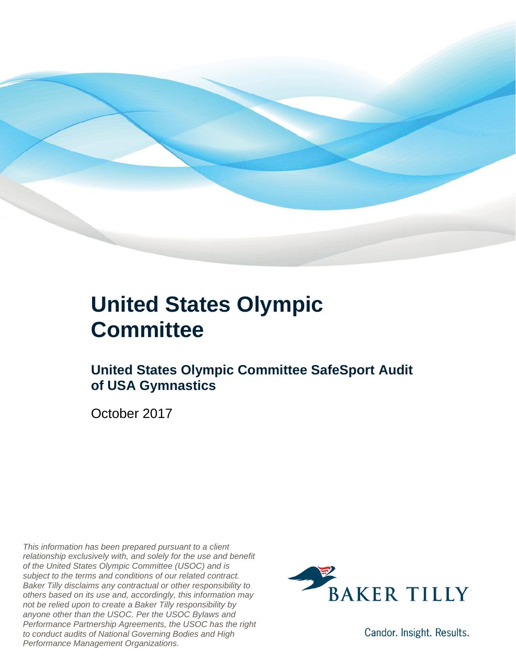

### **United States Olympic Committee**

### **United States Olympic Committee SafeSport Audit of USA Gymnastics**

October 2017

*This information has been prepared pursuant to a client relationship exclusively with, and solely for the use and benefit of the United States Olympic Committee (USOC) and is subject to the terms and conditions of our related contract. Baker Tilly disclaims any contractual or other responsibility to others based on its use and, accordingly, this information may not be relied upon to create a Baker Tilly responsibility by anyone other than the USOC. Per the USOC Bylaws and Performance Partnership Agreements, the USOC has the right to conduct audits of National Governing Bodies and High Performance Management Organizations.*



Candor. Insight. Results.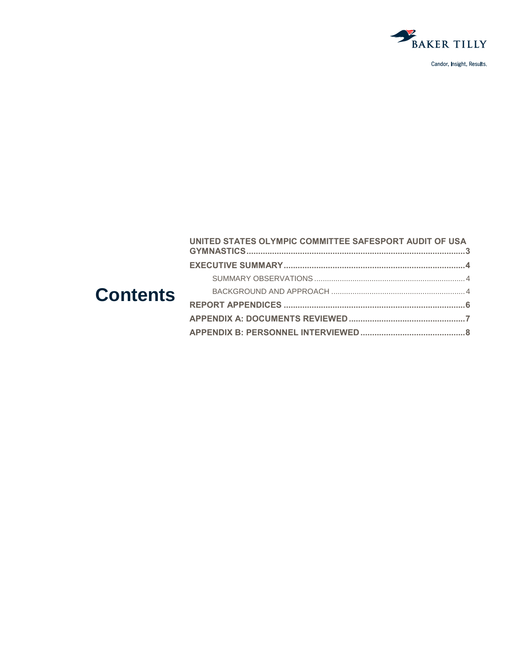

Candor. Insight. Results.

|                 | UNITED STATES OLYMPIC COMMITTEE SAFESPORT AUDIT OF USA |  |
|-----------------|--------------------------------------------------------|--|
| <b>Contents</b> |                                                        |  |
|                 |                                                        |  |
|                 |                                                        |  |
|                 |                                                        |  |
|                 |                                                        |  |
|                 |                                                        |  |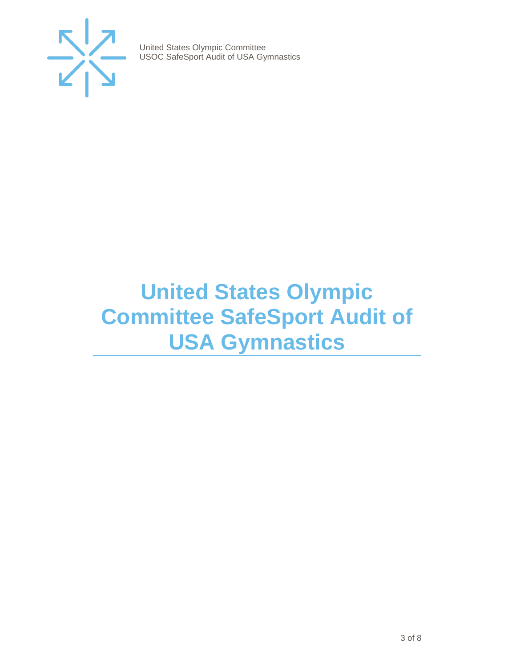

### <span id="page-2-0"></span>**United States Olympic Committee SafeSport Audit of USA Gymnastics**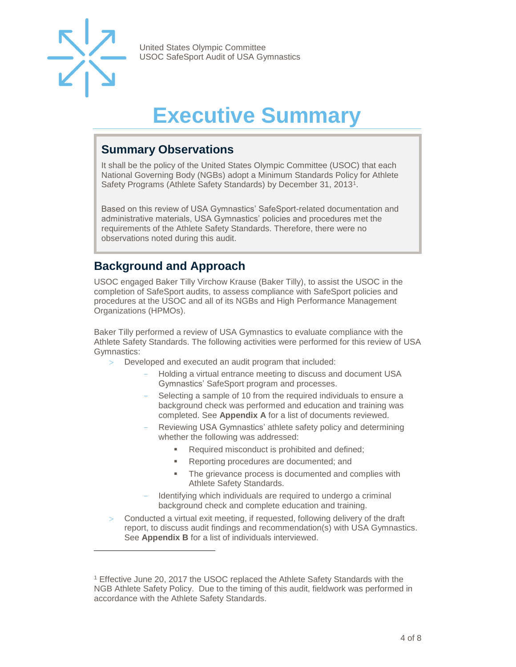

l

United States Olympic Committee USOC SafeSport Audit of USA Gymnastics

## **Executive Summary**

#### <span id="page-3-1"></span><span id="page-3-0"></span>**Summary Observations**

It shall be the policy of the United States Olympic Committee (USOC) that each National Governing Body (NGBs) adopt a Minimum Standards Policy for Athlete Safety Programs (Athlete Safety Standards) by December 31, 2013<sup>1</sup>.

Based on this review of USA Gymnastics' SafeSport-related documentation and administrative materials, USA Gymnastics' policies and procedures met the requirements of the Athlete Safety Standards. Therefore, there were no observations noted during this audit.

#### <span id="page-3-2"></span>**Background and Approach**

USOC engaged Baker Tilly Virchow Krause (Baker Tilly), to assist the USOC in the completion of SafeSport audits, to assess compliance with SafeSport policies and procedures at the USOC and all of its NGBs and High Performance Management Organizations (HPMOs).

Baker Tilly performed a review of USA Gymnastics to evaluate compliance with the Athlete Safety Standards. The following activities were performed for this review of USA Gymnastics:

- Developed and executed an audit program that included:
	- Holding a virtual entrance meeting to discuss and document USA Gymnastics' SafeSport program and processes.
	- Selecting a sample of 10 from the required individuals to ensure a background check was performed and education and training was completed. See **Appendix A** for a list of documents reviewed.
	- Reviewing USA Gymnastics' athlete safety policy and determining whether the following was addressed:
		- Required misconduct is prohibited and defined;
		- Reporting procedures are documented; and
		- The grievance process is documented and complies with Athlete Safety Standards.
	- Identifying which individuals are required to undergo a criminal background check and complete education and training.
- Conducted a virtual exit meeting, if requested, following delivery of the draft report, to discuss audit findings and recommendation(s) with USA Gymnastics. See **Appendix B** for a list of individuals interviewed.

<sup>&</sup>lt;sup>1</sup> Effective June 20, 2017 the USOC replaced the Athlete Safety Standards with the NGB Athlete Safety Policy. Due to the timing of this audit, fieldwork was performed in accordance with the Athlete Safety Standards.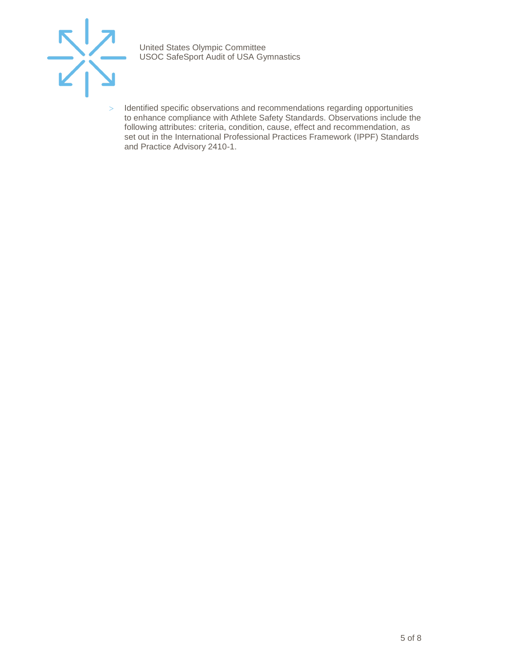

> Identified specific observations and recommendations regarding opportunities to enhance compliance with Athlete Safety Standards. Observations include the following attributes: criteria, condition, cause, effect and recommendation, as set out in the International Professional Practices Framework (IPPF) Standards and Practice Advisory 2410-1.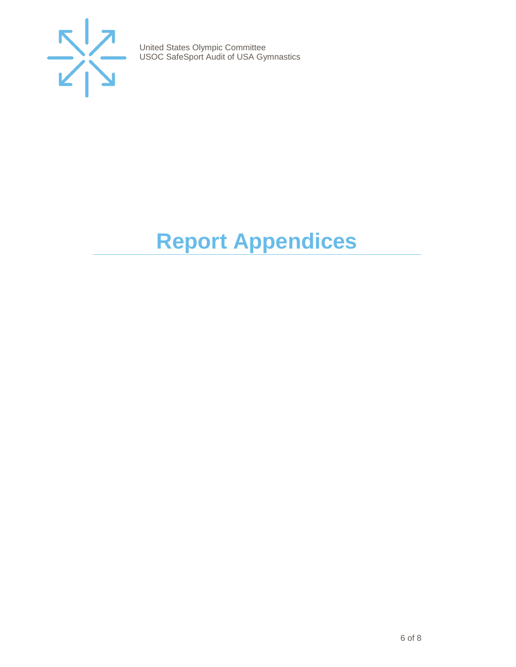

# <span id="page-5-0"></span>**Report Appendices**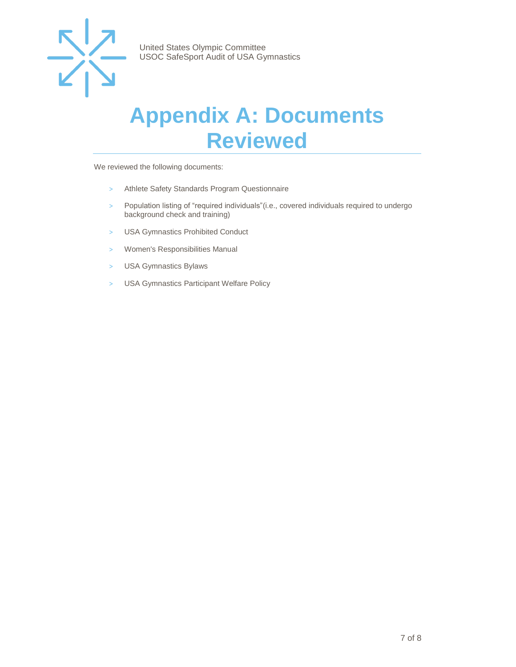

### <span id="page-6-0"></span>**Appendix A: Documents Reviewed**

We reviewed the following documents:

- > Athlete Safety Standards Program Questionnaire
- > Population listing of "required individuals"(i.e., covered individuals required to undergo background check and training)
- > USA Gymnastics Prohibited Conduct
- > Women's Responsibilities Manual
- > USA Gymnastics Bylaws
- > USA Gymnastics Participant Welfare Policy